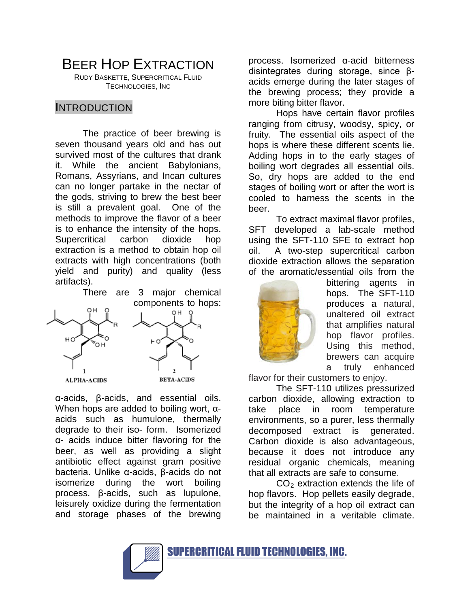BEER HOP EXTRACTION

RUDY BASKETTE, SUPERCRITICAL FLUID TECHNOLOGIES, INC

#### INTRODUCTION

The practice of beer brewing is seven thousand years old and has out survived most of the cultures that drank it. While the ancient Babylonians, Romans, Assyrians, and Incan cultures can no longer partake in the nectar of the gods, striving to brew the best beer is still a prevalent goal. One of the methods to improve the flavor of a beer is to enhance the intensity of the hops. Supercritical carbon dioxide hop extraction is a method to obtain hop oil extracts with high concentrations (both yield and purity) and quality (less artifacts).

There are 3 major chemical components to hops:



α-acids, β-acids, and essential oils. When hops are added to boiling wort, αacids such as humulone, thermally degrade to their iso- form. Isomerized α- acids induce bitter flavoring for the beer, as well as providing a slight antibiotic effect against gram positive bacteria. Unlike α-acids, β-acids do not isomerize during the wort boiling process. β-acids, such as lupulone, leisurely oxidize during the fermentation and storage phases of the brewing

process. Isomerized α-acid bitterness disintegrates during storage, since βacids emerge during the later stages of the brewing process; they provide a more biting bitter flavor.

Hops have certain flavor profiles ranging from citrusy, woodsy, spicy, or fruity. The essential oils aspect of the hops is where these different scents lie. Adding hops in to the early stages of boiling wort degrades all essential oils. So, dry hops are added to the end stages of boiling wort or after the wort is cooled to harness the scents in the beer.

To extract maximal flavor profiles, SFT developed a lab-scale method using the SFT-110 SFE to extract hop oil. A two-step supercritical carbon dioxide extraction allows the separation of the aromatic/essential oils from the



bittering agents in hops. The SFT-110 produces a natural, unaltered oil extract that amplifies natural hop flavor profiles. Using this method, brewers can acquire a truly enhanced

flavor for their customers to enjoy.

The SFT-110 utilizes pressurized carbon dioxide, allowing extraction to take place in room temperature environments, so a purer, less thermally decomposed extract is generated. Carbon dioxide is also advantageous, because it does not introduce any residual organic chemicals, meaning that all extracts are safe to consume.

 $CO<sub>2</sub>$  extraction extends the life of hop flavors. Hop pellets easily degrade, but the integrity of a hop oil extract can be maintained in a veritable climate.

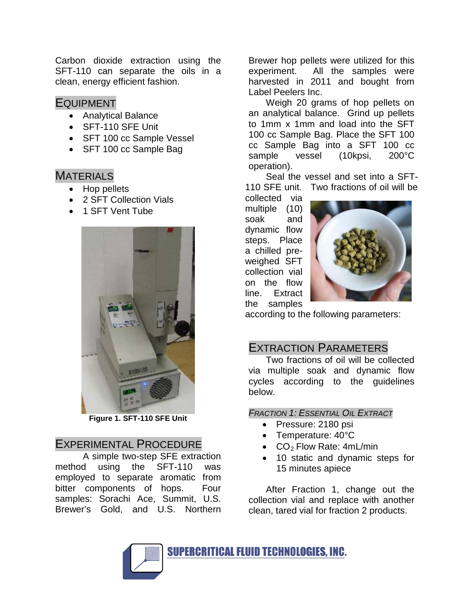Carbon dioxide extraction using the SFT-110 can separate the oils in a clean, energy efficient fashion.

### EQUIPMENT

- Analytical Balance
- SFT-110 SFE Unit
- SFT 100 cc Sample Vessel
- SFT 100 cc Sample Bag

## MATERIALS

- Hop pellets
- 2 SFT Collection Vials
- 1 SFT Vent Tube



**Figure 1. SFT-110 SFE Unit**

## EXPERIMENTAL PROCEDURE

A simple two-step SFE extraction method using the SFT-110 was employed to separate aromatic from bitter components of hops. Four samples: Sorachi Ace, Summit, U.S. Brewer's Gold, and U.S. Northern

Brewer hop pellets were utilized for this experiment. All the samples were harvested in 2011 and bought from Label Peelers Inc.

Weigh 20 grams of hop pellets on an analytical balance. Grind up pellets to 1mm x 1mm and load into the SFT 100 cc Sample Bag. Place the SFT 100 cc Sample Bag into a SFT 100 cc sample vessel (10kpsi, 200°C operation).

Seal the vessel and set into a SFT-110 SFE unit. Two fractions of oil will be

collected via multiple (10) soak and dynamic flow steps. Place a chilled preweighed SFT collection vial on the flow line. Extract the samples



according to the following parameters:

# EXTRACTION PARAMETERS

Two fractions of oil will be collected via multiple soak and dynamic flow cycles according to the guidelines below.

### *FRACTION 1: ESSENTIAL OIL EXTRACT*

- Pressure: 2180 psi
- Temperature: 40°C
- $CO<sub>2</sub>$  Flow Rate: 4mL/min
- 10 static and dynamic steps for 15 minutes apiece

After Fraction 1, change out the collection vial and replace with another clean, tared vial for fraction 2 products.

SUPERCRITICAL FLUID TECHNOLOGIES, INC.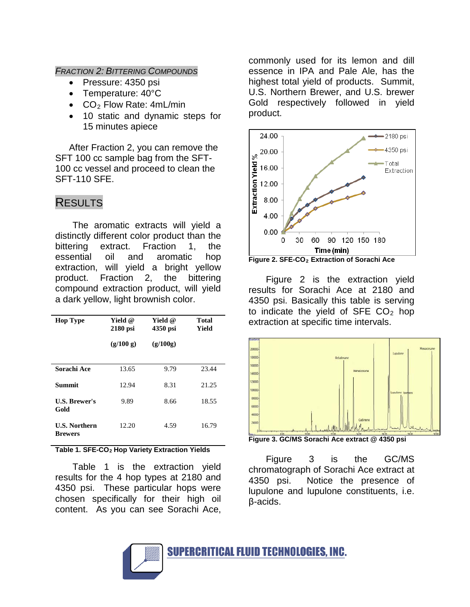*FRACTION 2: BITTERING COMPOUNDS*

- Pressure: 4350 psi
- Temperature: 40°C
- $CO<sub>2</sub>$  Flow Rate: 4mL/min
- 10 static and dynamic steps for 15 minutes apiece

After Fraction 2, you can remove the SFT 100 cc sample bag from the SFT-100 cc vessel and proceed to clean the SFT-110 SFE.

# RESULTS

The aromatic extracts will yield a distinctly different color product than the bittering extract. Fraction 1, the essential oil and aromatic hop extraction, will yield a bright yellow product. Fraction 2, the bittering compound extraction product, will yield a dark yellow, light brownish color.

| <b>Hop Type</b>                        | Yield @<br>$2180$ psi | Yield @<br>4350 psi | Total<br>Yield |
|----------------------------------------|-----------------------|---------------------|----------------|
|                                        | (g/100 g)             | (g/100g)            |                |
| Sorachi Ace                            | 13.65                 | 9.79                | 23.44          |
| <b>Summit</b>                          | 12.94                 | 8.31                | 21.25          |
| <b>U.S. Brewer's</b><br>Gold           | 9.89                  | 8.66                | 18.55          |
| <b>U.S. Northern</b><br><b>Brewers</b> | 12.20                 | 4.59                | 16.79          |
|                                        |                       |                     |                |

**Table 1. SFE-CO2 Hop Variety Extraction Yields** 

Table 1 is the extraction yield results for the 4 hop types at 2180 and 4350 psi. These particular hops were chosen specifically for their high oil content. As you can see Sorachi Ace,

commonly used for its lemon and dill essence in IPA and Pale Ale, has the highest total yield of products. Summit, U.S. Northern Brewer, and U.S. brewer Gold respectively followed in yield product.



**Figure 2. SFE-CO<sub>2</sub> Extraction of Sorachi Ace** 

Figure 2 is the extraction yield results for Sorachi Ace at 2180 and 4350 psi. Basically this table is serving to indicate the yield of SFE  $CO<sub>2</sub>$  hop extraction at specific time intervals.



**Figure 3. GC/MS Sorachi Ace extract @ 4350 psi**

Figure 3 is the GC/MS chromatograph of Sorachi Ace extract at 4350 psi. Notice the presence of lupulone and lupulone constituents, i.e. β-acids.